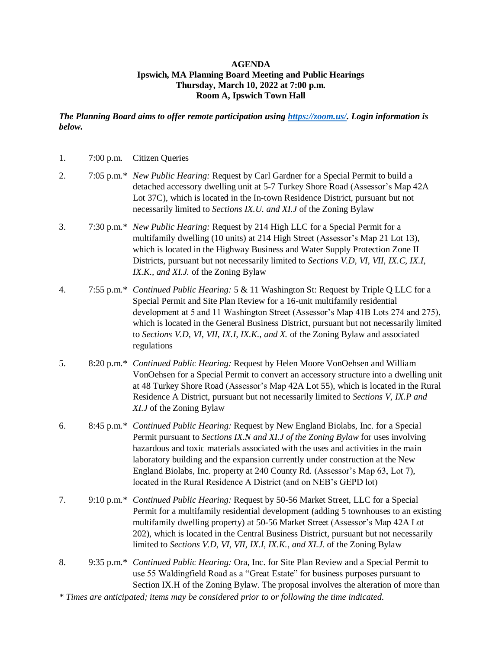## **AGENDA Ipswich, MA Planning Board Meeting and Public Hearings Thursday, March 10, 2022 at 7:00 p.m. Room A, Ipswich Town Hall**

*The Planning Board aims to offer remote participation using [https://zoom.us/.](https://zoom.us/) Login information is below.*

| 1. | 7:00 p.m. Citizen Queries                                                                                                                                                                                                                                                                                                                                                                                                                                                                              |
|----|--------------------------------------------------------------------------------------------------------------------------------------------------------------------------------------------------------------------------------------------------------------------------------------------------------------------------------------------------------------------------------------------------------------------------------------------------------------------------------------------------------|
| 2. | 7:05 p.m.* <i>New Public Hearing:</i> Request by Carl Gardner for a Special Permit to build a<br>detached accessory dwelling unit at 5-7 Turkey Shore Road (Assessor's Map 42A<br>Lot 37C), which is located in the In-town Residence District, pursuant but not<br>necessarily limited to Sections IX.U. and XI.J of the Zoning Bylaw                                                                                                                                                                 |
| 3. | 7:30 p.m.* New Public Hearing: Request by 214 High LLC for a Special Permit for a<br>multifamily dwelling (10 units) at 214 High Street (Assessor's Map 21 Lot 13),<br>which is located in the Highway Business and Water Supply Protection Zone II<br>Districts, pursuant but not necessarily limited to Sections V.D, VI, VII, IX.C, IX.I,<br>IX.K., and XI.J. of the Zoning Bylaw                                                                                                                   |
| 4. | 7:55 p.m.* Continued Public Hearing: 5 & 11 Washington St: Request by Triple Q LLC for a<br>Special Permit and Site Plan Review for a 16-unit multifamily residential<br>development at 5 and 11 Washington Street (Assessor's Map 41B Lots 274 and 275),<br>which is located in the General Business District, pursuant but not necessarily limited<br>to Sections V.D, VI, VII, IX.I, IX.K., and X. of the Zoning Bylaw and associated<br>regulations                                                |
| 5. | 8:20 p.m.* Continued Public Hearing: Request by Helen Moore VonOehsen and William<br>VonOehsen for a Special Permit to convert an accessory structure into a dwelling unit<br>at 48 Turkey Shore Road (Assessor's Map 42A Lot 55), which is located in the Rural<br>Residence A District, pursuant but not necessarily limited to Sections V, IX.P and<br>XI.J of the Zoning Bylaw                                                                                                                     |
| 6. | 8:45 p.m.* Continued Public Hearing: Request by New England Biolabs, Inc. for a Special<br>Permit pursuant to Sections IX.N and XI.J of the Zoning Bylaw for uses involving<br>hazardous and toxic materials associated with the uses and activities in the main<br>laboratory building and the expansion currently under construction at the New<br>England Biolabs, Inc. property at 240 County Rd. (Assessor's Map 63, Lot 7),<br>located in the Rural Residence A District (and on NEB's GEPD lot) |
| 7. | 9:10 p.m.* Continued Public Hearing: Request by 50-56 Market Street, LLC for a Special<br>Permit for a multifamily residential development (adding 5 townhouses to an existing<br>multifamily dwelling property) at 50-56 Market Street (Assessor's Map 42A Lot<br>202), which is located in the Central Business District, pursuant but not necessarily<br>limited to Sections V.D, VI, VII, IX.I, IX.K., and XI.J. of the Zoning Bylaw                                                               |
| 8. | 9:35 p.m.* Continued Public Hearing: Ora, Inc. for Site Plan Review and a Special Permit to<br>use 55 Waldingfield Road as a "Great Estate" for business purposes pursuant to<br>Section IX.H of the Zoning Bylaw. The proposal involves the alteration of more than                                                                                                                                                                                                                                   |

*\* Times are anticipated; items may be considered prior to or following the time indicated.*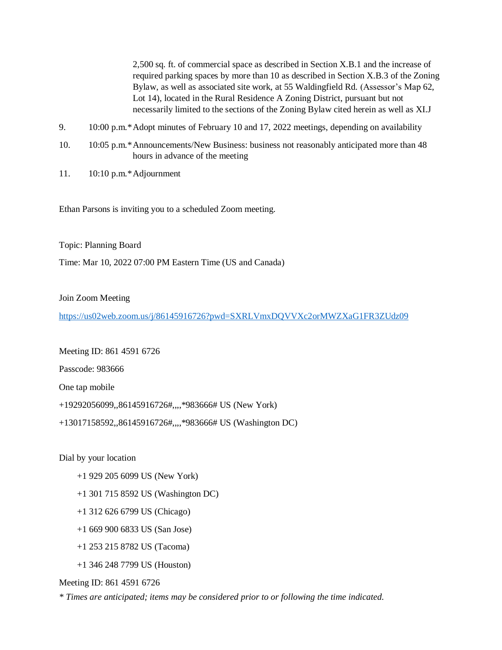2,500 sq. ft. of commercial space as described in Section X.B.1 and the increase of required parking spaces by more than 10 as described in Section X.B.3 of the Zoning Bylaw, as well as associated site work, at 55 Waldingfield Rd. (Assessor's Map 62, Lot 14), located in the Rural Residence A Zoning District, pursuant but not necessarily limited to the sections of the Zoning Bylaw cited herein as well as XI.J

- 9. 10:00 p.m.\*Adopt minutes of February 10 and 17, 2022 meetings, depending on availability
- 10. 10:05 p.m.\*Announcements/New Business: business not reasonably anticipated more than 48 hours in advance of the meeting
- 11. 10:10 p.m.\*Adjournment

Ethan Parsons is inviting you to a scheduled Zoom meeting.

Topic: Planning Board

Time: Mar 10, 2022 07:00 PM Eastern Time (US and Canada)

## Join Zoom Meeting

<https://us02web.zoom.us/j/86145916726?pwd=SXRLVmxDQVVXc2orMWZXaG1FR3ZUdz09>

Meeting ID: 861 4591 6726

Passcode: 983666

One tap mobile

+19292056099,,86145916726#,,,,\*983666# US (New York)

+13017158592,,86145916726#,,,,\*983666# US (Washington DC)

Dial by your location

- +1 929 205 6099 US (New York)
- +1 301 715 8592 US (Washington DC)
- +1 312 626 6799 US (Chicago)
- +1 669 900 6833 US (San Jose)
- +1 253 215 8782 US (Tacoma)
- +1 346 248 7799 US (Houston)

Meeting ID: 861 4591 6726

*\* Times are anticipated; items may be considered prior to or following the time indicated.*